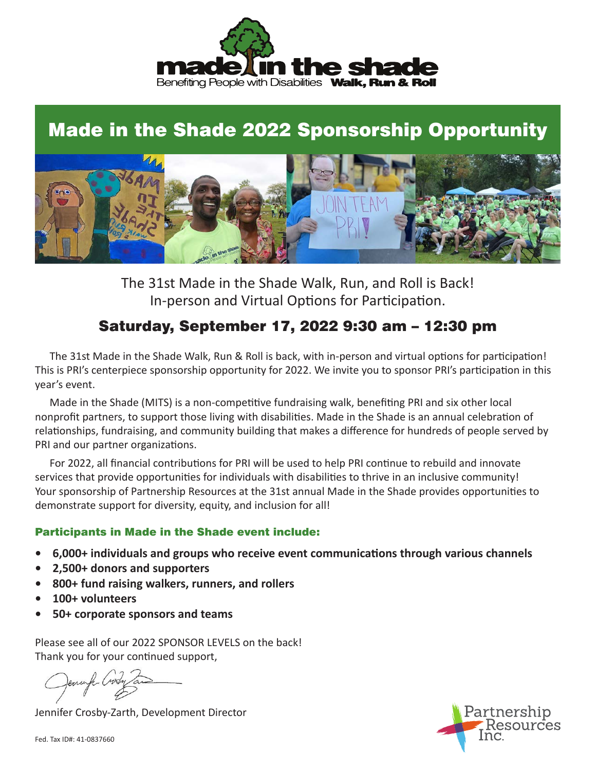

# Made in the Shade 2022 Sponsorship Opportunity



The 31st Made in the Shade Walk, Run, and Roll is Back! In-person and Virtual Options for Participation.

# Saturday, September 17, 2022 9:30 am – 12:30 pm

 The 31st Made in the Shade Walk, Run & Roll is back, with in-person and virtual options for participation! This is PRI's centerpiece sponsorship opportunity for 2022. We invite you to sponsor PRI's participation in this year's event.

 Made in the Shade (MITS) is a non-competitive fundraising walk, benefiting PRI and six other local nonprofit partners, to support those living with disabilities. Made in the Shade is an annual celebration of relationships, fundraising, and community building that makes a difference for hundreds of people served by PRI and our partner organizations.

 For 2022, all financial contributions for PRI will be used to help PRI continue to rebuild and innovate services that provide opportunities for individuals with disabilities to thrive in an inclusive community! Your sponsorship of Partnership Resources at the 31st annual Made in the Shade provides opportunities to demonstrate support for diversity, equity, and inclusion for all!

#### Participants in Made in the Shade event include:

- **• 6,000+ individuals and groups who receive event communications through various channels**
- **• 2,500+ donors and supporters**
- **• 800+ fund raising walkers, runners, and rollers**
- **• 100+ volunteers**
- **• 50+ corporate sponsors and teams**

Please see all of our 2022 SPONSOR LEVELS on the back! Thank you for your continued support,

Jennifer Crosby-Zarth, Development Director